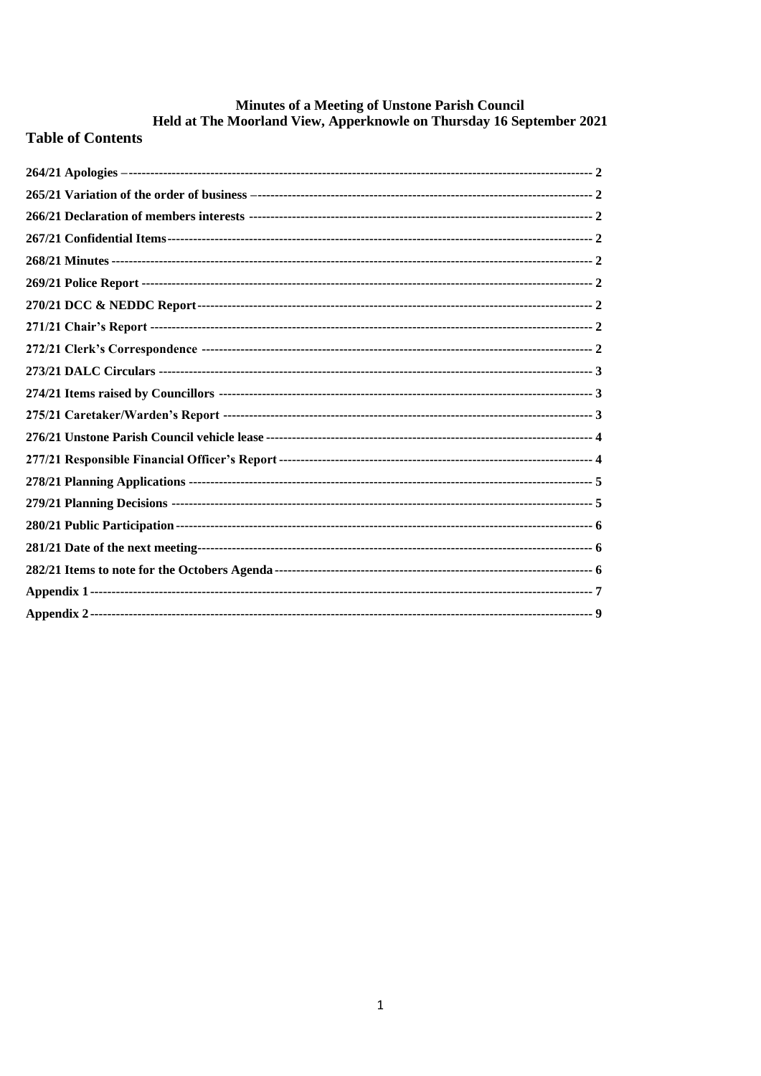# Minutes of a Meeting of Unstone Parish Council<br>Held at The Moorland View, Apperknowle on Thursday 16 September 2021

# **Table of Contents**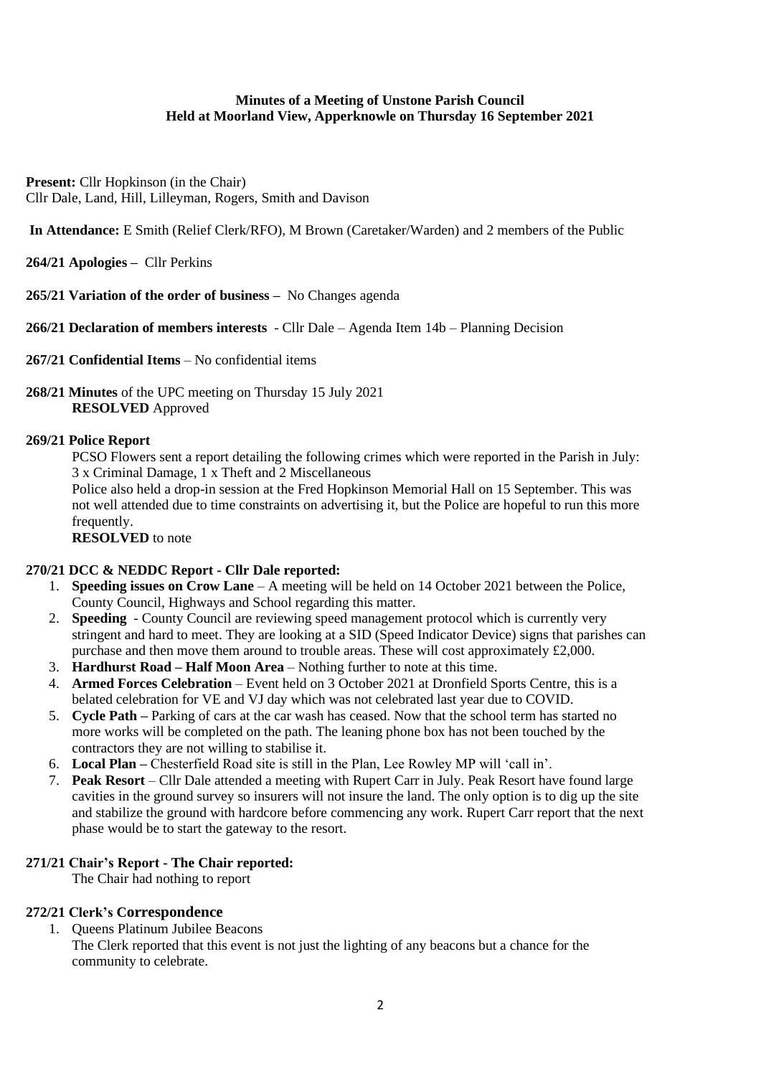### **Minutes of a Meeting of Unstone Parish Council Held at Moorland View, Apperknowle on Thursday 16 September 2021**

**Present:** Cllr Hopkinson (in the Chair) Cllr Dale, Land, Hill, Lilleyman, Rogers, Smith and Davison

**In Attendance:** E Smith (Relief Clerk/RFO), M Brown (Caretaker/Warden) and 2 members of the Public

<span id="page-1-0"></span>**264/21 Apologies –** Cllr Perkins

<span id="page-1-1"></span>**265/21 Variation of the order of business –** No Changes agenda

<span id="page-1-2"></span>**266/21 Declaration of members interests** - Cllr Dale – Agenda Item 14b – Planning Decision

<span id="page-1-3"></span>**267/21 Confidential Items** – No confidential items

<span id="page-1-4"></span>**268/21 Minutes** of the UPC meeting on Thursday 15 July 2021 **RESOLVED** Approved

#### <span id="page-1-5"></span>**269/21 Police Report**

PCSO Flowers sent a report detailing the following crimes which were reported in the Parish in July: 3 x Criminal Damage, 1 x Theft and 2 Miscellaneous

Police also held a drop-in session at the Fred Hopkinson Memorial Hall on 15 September. This was not well attended due to time constraints on advertising it, but the Police are hopeful to run this more frequently.

**RESOLVED** to note

# <span id="page-1-6"></span>**270/21 DCC & NEDDC Report - Cllr Dale reported:**

- 1. **Speeding issues on Crow Lane** A meeting will be held on 14 October 2021 between the Police, County Council, Highways and School regarding this matter.
- 2. **Speeding**  County Council are reviewing speed management protocol which is currently very stringent and hard to meet. They are looking at a SID (Speed Indicator Device) signs that parishes can purchase and then move them around to trouble areas. These will cost approximately £2,000.
- 3. **Hardhurst Road – Half Moon Area** Nothing further to note at this time.
- 4. **Armed Forces Celebration** Event held on 3 October 2021 at Dronfield Sports Centre, this is a belated celebration for VE and VJ day which was not celebrated last year due to COVID.
- 5. **Cycle Path –** Parking of cars at the car wash has ceased. Now that the school term has started no more works will be completed on the path. The leaning phone box has not been touched by the contractors they are not willing to stabilise it.
- 6. **Local Plan –** Chesterfield Road site is still in the Plan, Lee Rowley MP will 'call in'.
- 7. **Peak Resort** Cllr Dale attended a meeting with Rupert Carr in July. Peak Resort have found large cavities in the ground survey so insurers will not insure the land. The only option is to dig up the site and stabilize the ground with hardcore before commencing any work. Rupert Carr report that the next phase would be to start the gateway to the resort.

# <span id="page-1-7"></span>**271/21 Chair's Report - The Chair reported:**

The Chair had nothing to report

# <span id="page-1-8"></span>**272/21 Clerk's Correspondence**

1. Queens Platinum Jubilee Beacons

The Clerk reported that this event is not just the lighting of any beacons but a chance for the community to celebrate.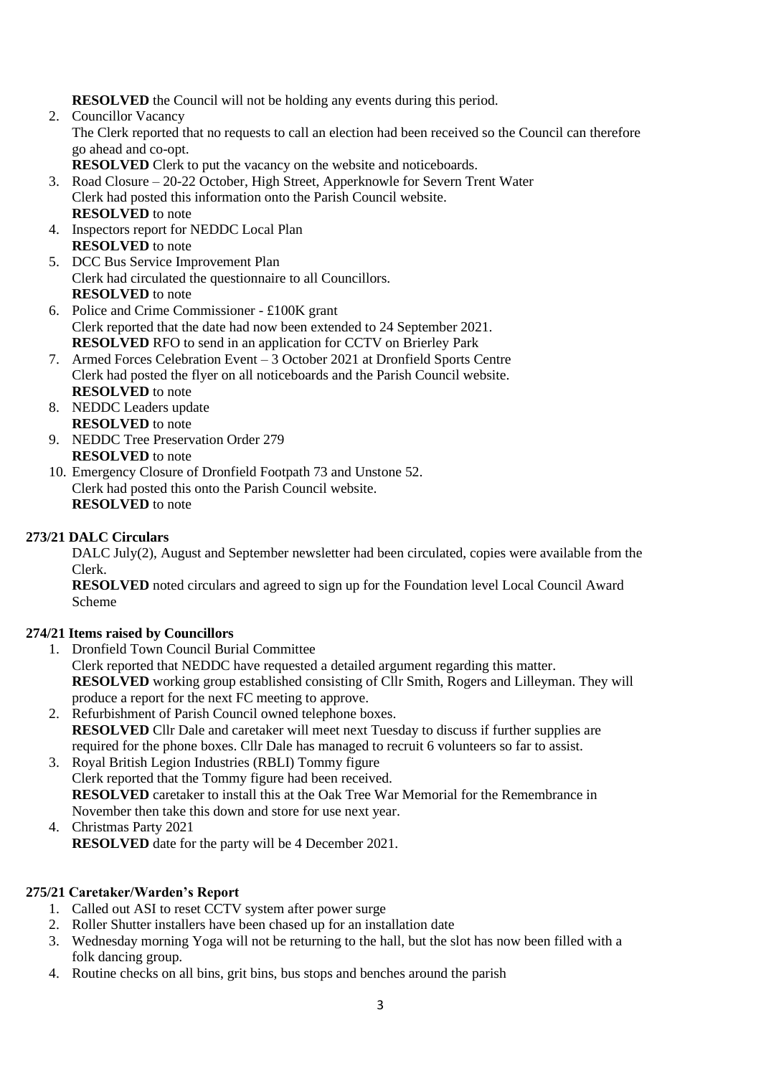**RESOLVED** the Council will not be holding any events during this period.

- 2. Councillor Vacancy The Clerk reported that no requests to call an election had been received so the Council can therefore go ahead and co-opt. **RESOLVED** Clerk to put the vacancy on the website and noticeboards.
- 3. Road Closure 20-22 October, High Street, Apperknowle for Severn Trent Water Clerk had posted this information onto the Parish Council website. **RESOLVED** to note
- 4. Inspectors report for NEDDC Local Plan **RESOLVED** to note
- 5. DCC Bus Service Improvement Plan Clerk had circulated the questionnaire to all Councillors. **RESOLVED** to note
- 6. Police and Crime Commissioner £100K grant Clerk reported that the date had now been extended to 24 September 2021. **RESOLVED** RFO to send in an application for CCTV on Brierley Park
- 7. Armed Forces Celebration Event 3 October 2021 at Dronfield Sports Centre Clerk had posted the flyer on all noticeboards and the Parish Council website. **RESOLVED** to note
- 8. NEDDC Leaders update **RESOLVED** to note
- 9. NEDDC Tree Preservation Order 279 **RESOLVED** to note
- 10. Emergency Closure of Dronfield Footpath 73 and Unstone 52. Clerk had posted this onto the Parish Council website. **RESOLVED** to note

# <span id="page-2-0"></span>**273/21 DALC Circulars**

DALC July(2), August and September newsletter had been circulated, copies were available from the Clerk.

**RESOLVED** noted circulars and agreed to sign up for the Foundation level Local Council Award Scheme

# <span id="page-2-1"></span>**274/21 Items raised by Councillors**

1. Dronfield Town Council Burial Committee

Clerk reported that NEDDC have requested a detailed argument regarding this matter. **RESOLVED** working group established consisting of Cllr Smith, Rogers and Lilleyman. They will produce a report for the next FC meeting to approve.

- 2. Refurbishment of Parish Council owned telephone boxes. **RESOLVED** Cllr Dale and caretaker will meet next Tuesday to discuss if further supplies are required for the phone boxes. Cllr Dale has managed to recruit 6 volunteers so far to assist.
- 3. Royal British Legion Industries (RBLI) Tommy figure Clerk reported that the Tommy figure had been received. **RESOLVED** caretaker to install this at the Oak Tree War Memorial for the Remembrance in November then take this down and store for use next year.
- 4. Christmas Party 2021 **RESOLVED** date for the party will be 4 December 2021.

# <span id="page-2-2"></span>**275/21 Caretaker/Warden's Report**

- 1. Called out ASI to reset CCTV system after power surge
- 2. Roller Shutter installers have been chased up for an installation date
- 3. Wednesday morning Yoga will not be returning to the hall, but the slot has now been filled with a folk dancing group.
- 4. Routine checks on all bins, grit bins, bus stops and benches around the parish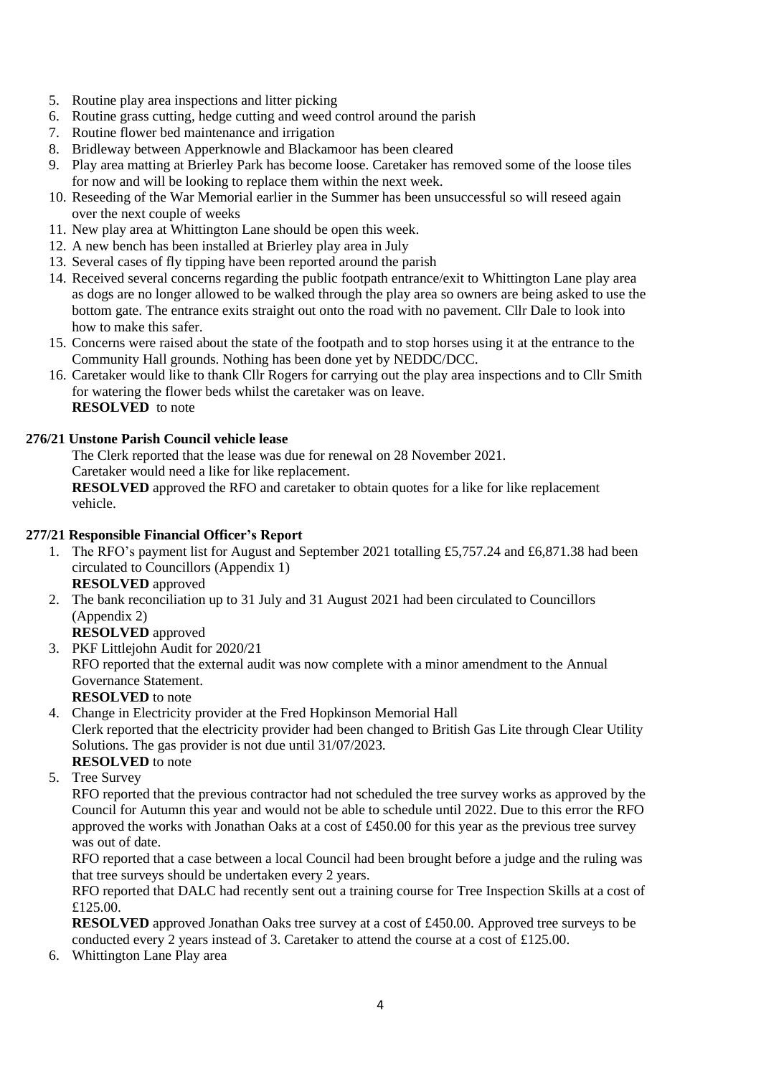- 5. Routine play area inspections and litter picking
- 6. Routine grass cutting, hedge cutting and weed control around the parish
- 7. Routine flower bed maintenance and irrigation
- 8. Bridleway between Apperknowle and Blackamoor has been cleared
- 9. Play area matting at Brierley Park has become loose. Caretaker has removed some of the loose tiles for now and will be looking to replace them within the next week.
- 10. Reseeding of the War Memorial earlier in the Summer has been unsuccessful so will reseed again over the next couple of weeks
- 11. New play area at Whittington Lane should be open this week.
- 12. A new bench has been installed at Brierley play area in July
- 13. Several cases of fly tipping have been reported around the parish
- 14. Received several concerns regarding the public footpath entrance/exit to Whittington Lane play area as dogs are no longer allowed to be walked through the play area so owners are being asked to use the bottom gate. The entrance exits straight out onto the road with no pavement. Cllr Dale to look into how to make this safer.
- 15. Concerns were raised about the state of the footpath and to stop horses using it at the entrance to the Community Hall grounds. Nothing has been done yet by NEDDC/DCC.
- 16. Caretaker would like to thank Cllr Rogers for carrying out the play area inspections and to Cllr Smith for watering the flower beds whilst the caretaker was on leave. **RESOLVED** to note

# <span id="page-3-0"></span>**276/21 Unstone Parish Council vehicle lease**

The Clerk reported that the lease was due for renewal on 28 November 2021.

Caretaker would need a like for like replacement.

**RESOLVED** approved the RFO and caretaker to obtain quotes for a like for like replacement vehicle.

# <span id="page-3-1"></span>**277/21 Responsible Financial Officer's Report**

1. The RFO's payment list for August and September 2021 totalling £5,757.24 and £6,871.38 had been circulated to Councillors (Appendix 1)

# **RESOLVED** approved

- 2. The bank reconciliation up to 31 July and 31 August 2021 had been circulated to Councillors (Appendix 2)
	- **RESOLVED** approved
- 3. PKF Littlejohn Audit for 2020/21 RFO reported that the external audit was now complete with a minor amendment to the Annual Governance Statement. **RESOLVED** to note

4. Change in Electricity provider at the Fred Hopkinson Memorial Hall

Clerk reported that the electricity provider had been changed to British Gas Lite through Clear Utility Solutions. The gas provider is not due until 31/07/2023.

- **RESOLVED** to note
- 5. Tree Survey

RFO reported that the previous contractor had not scheduled the tree survey works as approved by the Council for Autumn this year and would not be able to schedule until 2022. Due to this error the RFO approved the works with Jonathan Oaks at a cost of £450.00 for this year as the previous tree survey was out of date.

RFO reported that a case between a local Council had been brought before a judge and the ruling was that tree surveys should be undertaken every 2 years.

RFO reported that DALC had recently sent out a training course for Tree Inspection Skills at a cost of £125.00.

**RESOLVED** approved Jonathan Oaks tree survey at a cost of £450.00. Approved tree surveys to be conducted every 2 years instead of 3. Caretaker to attend the course at a cost of £125.00.

6. Whittington Lane Play area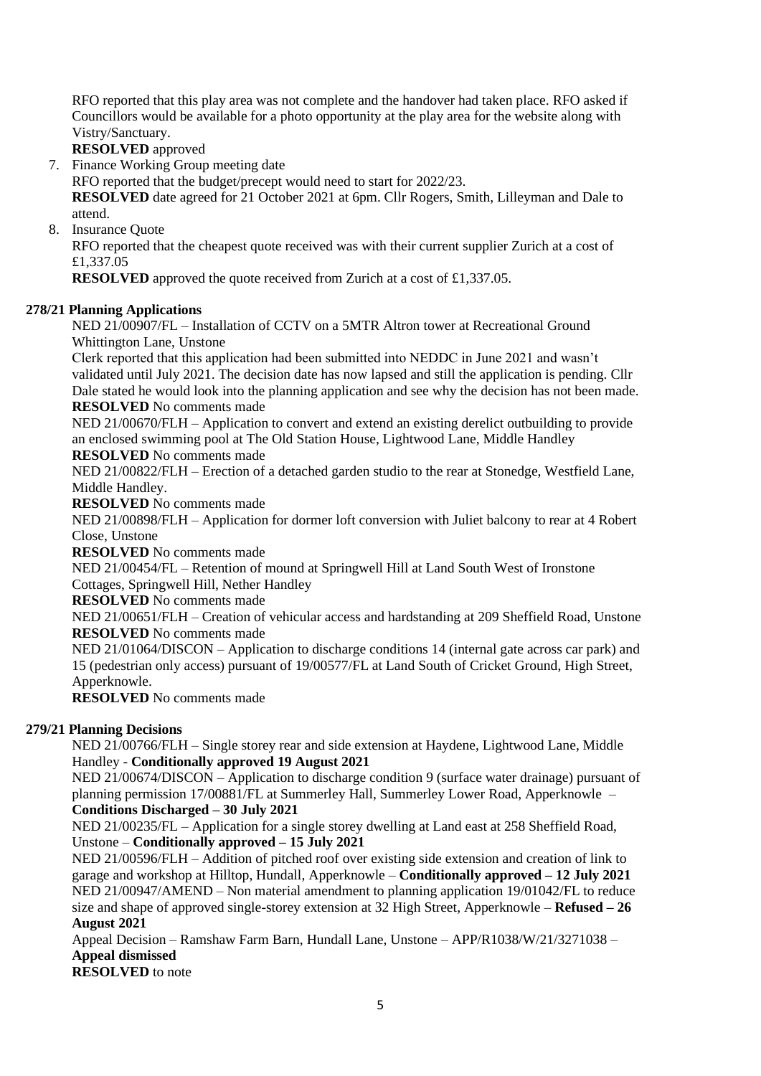RFO reported that this play area was not complete and the handover had taken place. RFO asked if Councillors would be available for a photo opportunity at the play area for the website along with Vistry/Sanctuary.

**RESOLVED** approved

7. Finance Working Group meeting date

RFO reported that the budget/precept would need to start for 2022/23.

**RESOLVED** date agreed for 21 October 2021 at 6pm. Cllr Rogers, Smith, Lilleyman and Dale to attend.

8. Insurance Quote

RFO reported that the cheapest quote received was with their current supplier Zurich at a cost of £1,337.05

**RESOLVED** approved the quote received from Zurich at a cost of £1,337.05.

### <span id="page-4-0"></span>**278/21 Planning Applications**

NED 21/00907/FL – Installation of CCTV on a 5MTR Altron tower at Recreational Ground Whittington Lane, Unstone

Clerk reported that this application had been submitted into NEDDC in June 2021 and wasn't validated until July 2021. The decision date has now lapsed and still the application is pending. Cllr Dale stated he would look into the planning application and see why the decision has not been made. **RESOLVED** No comments made

NED 21/00670/FLH – Application to convert and extend an existing derelict outbuilding to provide an enclosed swimming pool at The Old Station House, Lightwood Lane, Middle Handley

**RESOLVED** No comments made

NED 21/00822/FLH – Erection of a detached garden studio to the rear at Stonedge, Westfield Lane, Middle Handley.

**RESOLVED** No comments made

NED 21/00898/FLH – Application for dormer loft conversion with Juliet balcony to rear at 4 Robert Close, Unstone

**RESOLVED** No comments made

NED 21/00454/FL – Retention of mound at Springwell Hill at Land South West of Ironstone Cottages, Springwell Hill, Nether Handley

**RESOLVED** No comments made

NED 21/00651/FLH – Creation of vehicular access and hardstanding at 209 Sheffield Road, Unstone **RESOLVED** No comments made

NED 21/01064/DISCON – Application to discharge conditions 14 (internal gate across car park) and 15 (pedestrian only access) pursuant of 19/00577/FL at Land South of Cricket Ground, High Street, Apperknowle.

**RESOLVED** No comments made

# <span id="page-4-1"></span>**279/21 Planning Decisions**

NED 21/00766/FLH – Single storey rear and side extension at Haydene, Lightwood Lane, Middle Handley - **Conditionally approved 19 August 2021**

NED 21/00674/DISCON – Application to discharge condition 9 (surface water drainage) pursuant of planning permission 17/00881/FL at Summerley Hall, Summerley Lower Road, Apperknowle – **Conditions Discharged – 30 July 2021**

NED 21/00235/FL – Application for a single storey dwelling at Land east at 258 Sheffield Road, Unstone – **Conditionally approved – 15 July 2021**

NED 21/00596/FLH – Addition of pitched roof over existing side extension and creation of link to garage and workshop at Hilltop, Hundall, Apperknowle – **Conditionally approved – 12 July 2021** NED 21/00947/AMEND – Non material amendment to planning application 19/01042/FL to reduce size and shape of approved single-storey extension at 32 High Street, Apperknowle – **Refused – 26 August 2021**

Appeal Decision – Ramshaw Farm Barn, Hundall Lane, Unstone – APP/R1038/W/21/3271038 – **Appeal dismissed**

**RESOLVED** to note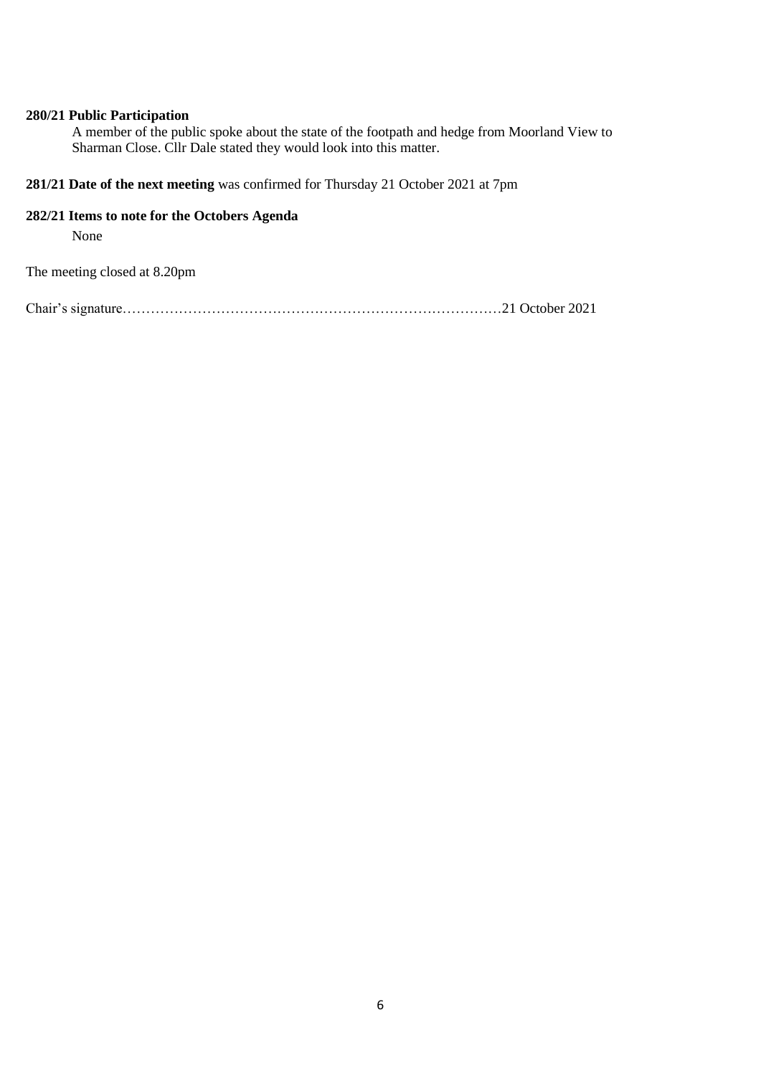### <span id="page-5-0"></span>**280/21 Public Participation**

A member of the public spoke about the state of the footpath and hedge from Moorland View to Sharman Close. Cllr Dale stated they would look into this matter.

<span id="page-5-1"></span>**281/21 Date of the next meeting** was confirmed for Thursday 21 October 2021 at 7pm

#### <span id="page-5-2"></span>**282/21 Items to note for the Octobers Agenda**

None

The meeting closed at 8.20pm

Chair's signature………………………………………………………………………21 October 2021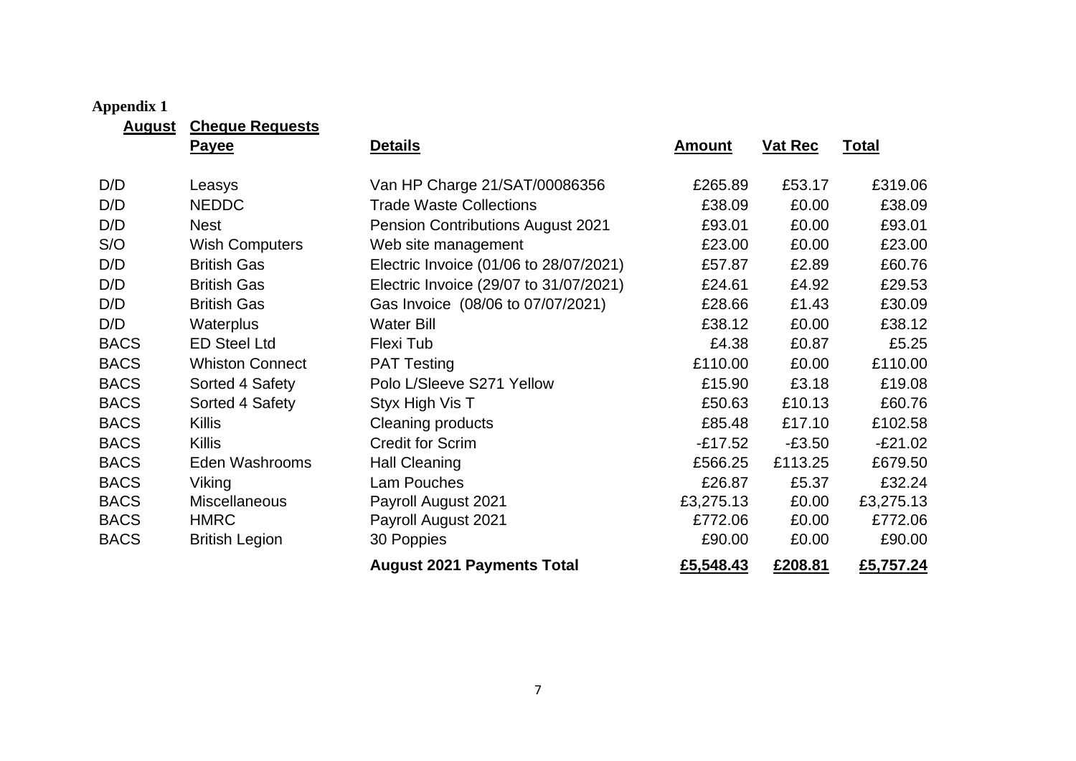# **Appendix 1**

**August Cheque Requests**

<span id="page-6-0"></span>

| $\sim$ $\sim$ | <u>The Common Count</u><br><b>Payee</b> | <b>Details</b>                           | <b>Amount</b> | <b>Vat Rec</b> | <u>Total</u> |
|---------------|-----------------------------------------|------------------------------------------|---------------|----------------|--------------|
| D/D           | Leasys                                  | Van HP Charge 21/SAT/00086356            | £265.89       | £53.17         | £319.06      |
| D/D           | <b>NEDDC</b>                            | <b>Trade Waste Collections</b>           | £38.09        | £0.00          | £38.09       |
| D/D           | <b>Nest</b>                             | <b>Pension Contributions August 2021</b> | £93.01        | £0.00          | £93.01       |
| S/O           | <b>Wish Computers</b>                   | Web site management                      | £23.00        | £0.00          | £23.00       |
| D/D           | <b>British Gas</b>                      | Electric Invoice (01/06 to 28/07/2021)   | £57.87        | £2.89          | £60.76       |
| D/D           | <b>British Gas</b>                      | Electric Invoice (29/07 to 31/07/2021)   | £24.61        | £4.92          | £29.53       |
| D/D           | <b>British Gas</b>                      | Gas Invoice (08/06 to 07/07/2021)        | £28.66        | £1.43          | £30.09       |
| D/D           | <b>Waterplus</b>                        | <b>Water Bill</b>                        | £38.12        | £0.00          | £38.12       |
| <b>BACS</b>   | <b>ED Steel Ltd</b>                     | Flexi Tub                                | £4.38         | £0.87          | £5.25        |
| <b>BACS</b>   | <b>Whiston Connect</b>                  | <b>PAT Testing</b>                       | £110.00       | £0.00          | £110.00      |
| <b>BACS</b>   | Sorted 4 Safety                         | Polo L/Sleeve S271 Yellow                | £15.90        | £3.18          | £19.08       |
| <b>BACS</b>   | Sorted 4 Safety                         | Styx High Vis T                          | £50.63        | £10.13         | £60.76       |
| <b>BACS</b>   | <b>Killis</b>                           | Cleaning products                        | £85.48        | £17.10         | £102.58      |
| <b>BACS</b>   | <b>Killis</b>                           | <b>Credit for Scrim</b>                  | $-£17.52$     | $-£3.50$       | $-E21.02$    |
| <b>BACS</b>   | Eden Washrooms                          | <b>Hall Cleaning</b>                     | £566.25       | £113.25        | £679.50      |
| <b>BACS</b>   | Viking                                  | Lam Pouches                              | £26.87        | £5.37          | £32.24       |
| <b>BACS</b>   | Miscellaneous                           | Payroll August 2021                      | £3,275.13     | £0.00          | £3,275.13    |
| <b>BACS</b>   | <b>HMRC</b>                             | Payroll August 2021                      | £772.06       | £0.00          | £772.06      |
| <b>BACS</b>   | <b>British Legion</b>                   | 30 Poppies                               | £90.00        | £0.00          | £90.00       |
|               |                                         | <b>August 2021 Payments Total</b>        | £5,548.43     | £208.81        | £5,757.24    |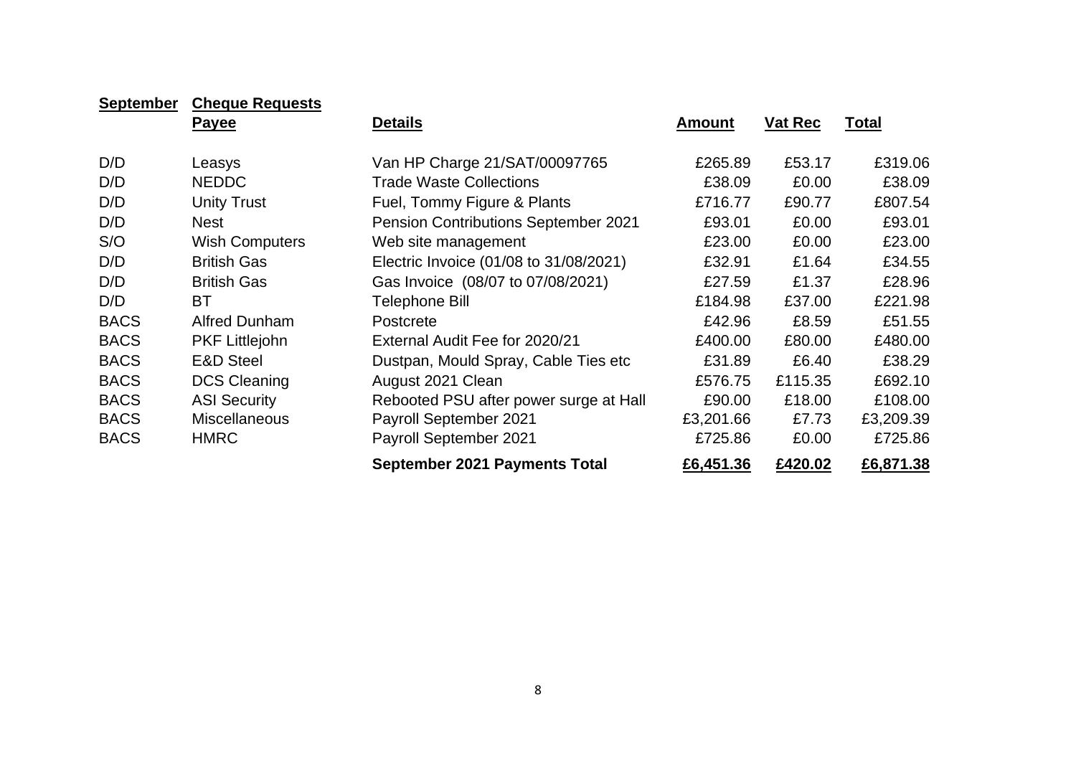| <b>September</b> | <b>Cheque Requests</b> |                                        |               |                |              |
|------------------|------------------------|----------------------------------------|---------------|----------------|--------------|
|                  | Payee                  | <b>Details</b>                         | <b>Amount</b> | <b>Vat Rec</b> | <u>Total</u> |
| D/D              | Leasys                 | Van HP Charge 21/SAT/00097765          | £265.89       | £53.17         | £319.06      |
| D/D              | <b>NEDDC</b>           | <b>Trade Waste Collections</b>         | £38.09        | £0.00          | £38.09       |
| D/D              | <b>Unity Trust</b>     | Fuel, Tommy Figure & Plants            | £716.77       | £90.77         | £807.54      |
| D/D              | Nest                   | Pension Contributions September 2021   | £93.01        | £0.00          | £93.01       |
| S/O              | <b>Wish Computers</b>  | Web site management                    | £23.00        | £0.00          | £23.00       |
| D/D              | <b>British Gas</b>     | Electric Invoice (01/08 to 31/08/2021) | £32.91        | £1.64          | £34.55       |
| D/D              | <b>British Gas</b>     | Gas Invoice (08/07 to 07/08/2021)      | £27.59        | £1.37          | £28.96       |
| D/D              | ВT                     | Telephone Bill                         | £184.98       | £37.00         | £221.98      |
| <b>BACS</b>      | <b>Alfred Dunham</b>   | <b>Postcrete</b>                       | £42.96        | £8.59          | £51.55       |
| <b>BACS</b>      | <b>PKF Littlejohn</b>  | External Audit Fee for 2020/21         | £400.00       | £80.00         | £480.00      |
| <b>BACS</b>      | <b>E&amp;D Steel</b>   | Dustpan, Mould Spray, Cable Ties etc   | £31.89        | £6.40          | £38.29       |
| <b>BACS</b>      | <b>DCS Cleaning</b>    | August 2021 Clean                      | £576.75       | £115.35        | £692.10      |
| <b>BACS</b>      | <b>ASI Security</b>    | Rebooted PSU after power surge at Hall | £90.00        | £18.00         | £108.00      |
| <b>BACS</b>      | <b>Miscellaneous</b>   | <b>Payroll September 2021</b>          | £3,201.66     | £7.73          | £3,209.39    |
| <b>BACS</b>      | <b>HMRC</b>            | <b>Payroll September 2021</b>          | £725.86       | £0.00          | £725.86      |
|                  |                        | <b>September 2021 Payments Total</b>   | £6,451.36     | £420.02        | £6,871.38    |